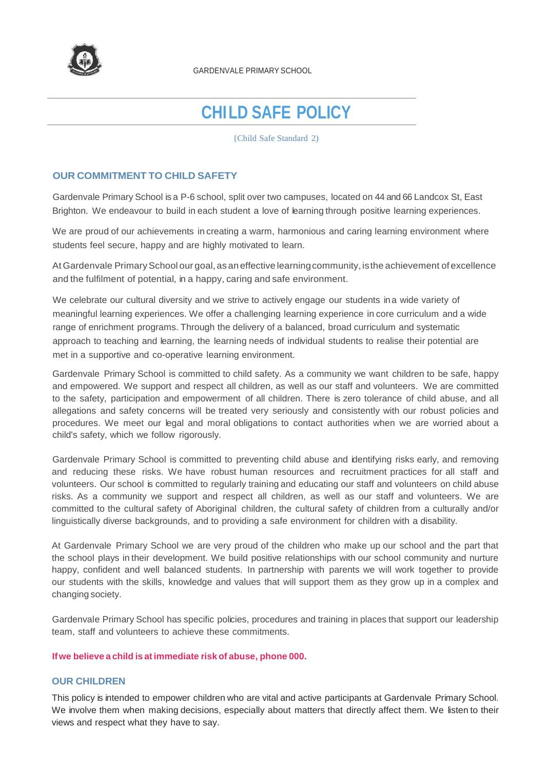

GARDENVALE PRIMARY SCHOOL

# **CHILD SAFE POLICY**

{Child Safe Standard 2)

## **OUR COMMITMENT TO CHILD SAFETY**

Gardenvale Primary School is a P-6 school, split over two campuses, located on 44 and 66 Landcox St, East Brighton. We endeavour to build in each student a love of learning through positive learning experiences.

We are proud of our achievements in creating a warm, harmonious and caring learning environment where students feel secure, happy and are highly motivated to learn.

At Gardenvale Primary School our goal, as an effective learning community, is the achievement of excellence and the fulfilment of potential, in a happy, caring and safe environment.

We celebrate our cultural diversity and we strive to actively engage our students ina wide variety of meaningful learning experiences. We offer a challenging learning experience in core curriculum and a wide range of enrichment programs. Through the delivery of a balanced, broad curriculum and systematic approach to teaching and learning, the learning needs of individual students to realise their potential are met in a supportive and co-operative learning environment.

Gardenvale Primary School is committed to child safety. As a community we want children to be safe, happy and empowered. We support and respect all children, as well as our staff and volunteers. We are committed to the safety, participation and empowerment of all children. There is zero tolerance of child abuse, and all allegations and safety concerns will be treated very seriously and consistently with our robust policies and procedures. We meet our legal and moral obligations to contact authorities when we are worried about a child's safety, which we follow rigorously.

Gardenvale Primary School is committed to preventing child abuse and identifying risks early, and removing and reducing these risks. We have robust human resources and recruitment practices for all staff and volunteers. Our school is committed to regularly training and educating our staff and volunteers on child abuse risks. As a community we support and respect all children, as well as our staff and volunteers. We are committed to the cultural safety of Aboriginal children, the cultural safety of children from a culturally and/or linguistically diverse backgrounds, and to providing a safe environment for children with a disability.

At Gardenvale Primary School we are very proud of the children who make up our school and the part that the school plays in their development. We build positive relationships with our school community and nurture happy, confident and well balanced students. In partnership with parents we will work together to provide our students with the skills, knowledge and values that will support them as they grow up in a complex and changing society.

Gardenvale Primary School has specific policies, procedures and training in places that support our leadership team, staff and volunteers to achieve these commitments.

#### **Ifwe believe a child is atimmediate risk of abuse, phone 000.**

### **OUR CHILDREN**

This policy is intended to empower children who are vital and active participants at Gardenvale Primary School. We involve them when making decisions, especially about matters that directly affect them. We listen to their views and respect what they have to say.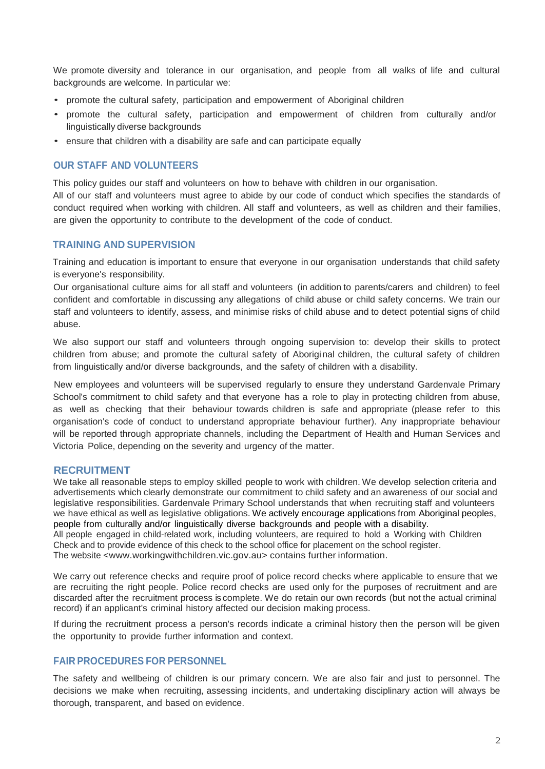We promote diversity and tolerance in our organisation, and people from all walks of life and cultural backgrounds are welcome. In particular we:

- promote the cultural safety, participation and empowerment of Aboriginal children
- promote the cultural safety, participation and empowerment of children from culturally and/or linguistically diverse backgrounds
- ensure that children with a disability are safe and can participate equally

## **OUR STAFF AND VOLUNTEERS**

This policy guides our staff and volunteers on how to behave with children in our organisation.

All of our staff and volunteers must agree to abide by our code of conduct which specifies the standards of conduct required when working with children. All staff and volunteers, as well as children and their families, are given the opportunity to contribute to the development of the code of conduct.

# **TRAINING AND SUPERVISION**

Training and education is important to ensure that everyone in our organisation understands that child safety is everyone's responsibility.

Our organisational culture aims for all staff and volunteers (in addition to parents/carers and children) to feel confident and comfortable in discussing any allegations of child abuse or child safety concerns. We train our staff and volunteers to identify, assess, and minimise risks of child abuse and to detect potential signs of child abuse.

We also support our staff and volunteers through ongoing supervision to: develop their skills to protect children from abuse; and promote the cultural safety of Aboriginal children, the cultural safety of children from linguistically and/or diverse backgrounds, and the safety of children with a disability.

New employees and volunteers will be supervised regularly to ensure they understand Gardenvale Primary School's commitment to child safety and that everyone has a role to play in protecting children from abuse, as well as checking that their behaviour towards children is safe and appropriate (please refer to this organisation's code of conduct to understand appropriate behaviour further). Any inappropriate behaviour will be reported through appropriate channels, including the Department of Health and Human Services and Victoria Police, depending on the severity and urgency of the matter.

### **RECRUITMENT**

We take all reasonable steps to employ skilled people to work with children. We develop selection criteria and advertisements which clearly demonstrate our commitment to child safety and an awareness of our social and legislative responsibilities. Gardenvale Primary School understands that when recruiting staff and volunteers we have ethical as well as legislative obligations. We actively encourage applications from Aboriginal peoples, people from culturally and/or linguistically diverse backgrounds and people with a disability.

All people engaged in child-related work, including volunteers, are required to hold a Working with Children Check and to provide evidence of this check to the school office for placement on the school register. The website [<www.workingwithchildren.vic.gov.au>](http://www.workingwithchildren.vic.gov.au/) contains further information.

We carry out reference checks and require proof of police record checks where applicable to ensure that we are recruiting the right people. Police record checks are used only for the purposes of recruitment and are discarded after the recruitment process is complete. We do retain our own records (but not the actual criminal record) if an applicant's criminal history affected our decision making process.

If during the recruitment process a person's records indicate a criminal history then the person will be given the opportunity to provide further information and context.

# **FAIR PROCEDURES FOR PERSONNEL**

The safety and wellbeing of children is our primary concern. We are also fair and just to personnel. The decisions we make when recruiting, assessing incidents, and undertaking disciplinary action will always be thorough, transparent, and based on evidence.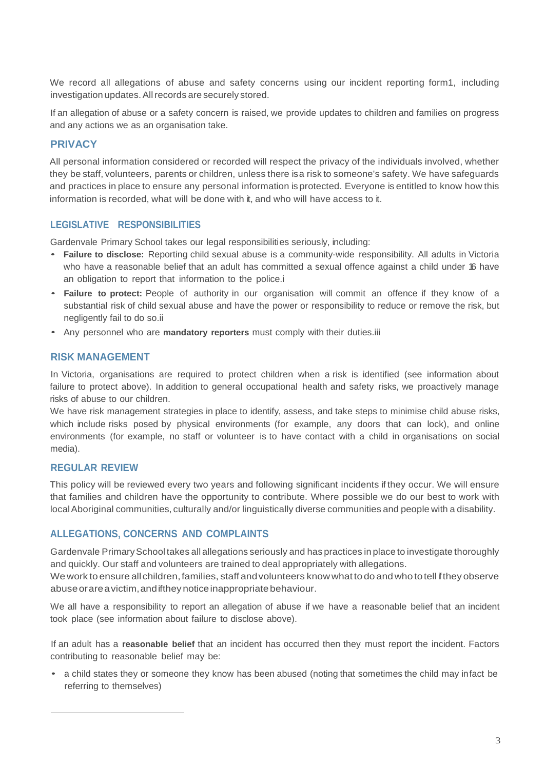We record all allegations of abuse and safety concerns using our incident reporting form1, including investigation updates. All records are securely stored.

If an allegation of abuse or a safety concern is raised, we provide updates to children and families on progress and any actions we as an organisation take.

# **PRIVACY**

All personal information considered or recorded will respect the privacy of the individuals involved, whether they be staff, volunteers, parents or children, unless there isa risk to someone's safety. We have safeguards and practices in place to ensure any personal information is protected. Everyone is entitled to know how this information is recorded, what will be done with it, and who will have access to it.

# **LEGISLATIVE RESPONSIBILITIES**

Gardenvale Primary School takes our legal responsibilities seriously, including:

- **Failure to disclose:** Reporting child sexual abuse is a community-wide responsibility. All adults in Victoria who have a reasonable belief that an adult has committed a sexual offence against a child under 16 have an obligation to report that information to the police.i
- **Failure to protect:** People of authority in our organisation will commit an offence if they know of a substantial risk of child sexual abuse and have the power or responsibility to reduce or remove the risk, but negligently fail to do so.ii
- Any personnel who are **mandatory reporters** must comply with their duties.iii

# **RISK MANAGEMENT**

In Victoria, organisations are required to protect children when a risk is identified (see information about failure to protect above). In addition to general occupational health and safety risks, we proactively manage risks of abuse to our children.

We have risk management strategies in place to identify, assess, and take steps to minimise child abuse risks, which include risks posed by physical environments (for example, any doors that can lock), and online environments (for example, no staff or volunteer is to have contact with a child in organisations on social media).

# **REGULAR REVIEW**

This policy will be reviewed every two years and following significant incidents if they occur. We will ensure that families and children have the opportunity to contribute. Where possible we do our best to work with localAboriginal communities, culturally and/or linguistically diverse communities and people with a disability.

# **ALLEGATIONS, CONCERNS AND COMPLAINTS**

Gardenvale PrimarySchool takes all allegations seriously and has practices in place to investigate thoroughly and quickly. Our staff and volunteers are trained to deal appropriately with allegations.

We work to ensure all children, families, staff and volunteers know what to do and who to tell if they observe abuse or are a victim, and if they notice inappropriate behaviour.

We all have a responsibility to report an allegation of abuse if we have a reasonable belief that an incident took place (see information about failure to disclose above).

If an adult has a **reasonable belief** that an incident has occurred then they must report the incident. Factors contributing to reasonable belief may be:

• a child states they or someone they know has been abused (noting that sometimes the child may infact be referring to themselves)